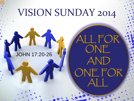# VISION SUNDAY 2014

ALL FOR

ONE

AND

ONE FOR

ALL

#### JOHN 17:20-26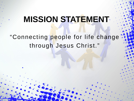#### **MISSION STATEMENT**

#### "Connecting people for life change through Jesus Christ."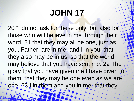# **JOHN 17**

20 "I do not ask for these only, but also for those who will believe in me through their word, 21 that they may all be one, just as you, Father, are in me, and I in you, that they also may be in us, so that the world may believe that you have sent me. 22 The glory that you have given me I have given to . them, that they may be one even as we are. one, 23 I in them and you in me, that they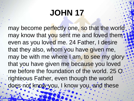# **JOHN 17**

may become perfectly one, so that the world; may know that you sent me and loved them even as you loved me. 24 Father, I desire that they also, whom you have given me, may be with me where I am, to see my glory that you have given me because you loved me before the foundation of the world. 25 O righteous Father, even though the world does not know you, I know you, and these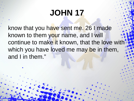# **JOHN 17**

know that you have sent me. 26 I made known to them your name, and I will continue to make it known, that the love with which you have loved me may be in them, and I in them."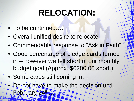# **RELOCATION:**

- To be continued....
- Overall unified desire to relocate
- Commendable response to "Ask in Faith"
- Good percentage of pledge cards turned in – however we fell short of our monthly budget goal (Approx. \$6200.00 short.)
- Some cards still coming in…
	- Do not have to make the decision until February 24th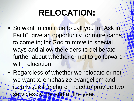#### **RELOCATION:**

- So want to continue to call you to "Ask in Faith"; give an opportunity for more cards; to come in; for God to move in special ways and allow the elders to deliberate further about whether or not to go forward with relocation.
- Regardless of whether we relocate or not we want to emphasize evangelism and ideally see the church need to provide two services by the end of the year.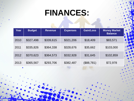| Year | <b>Budget</b> | <b>Revenue</b> | <b>Expenses</b> | <b>Gain/Loss</b> | <b>Money Market</b><br><b>Balance</b> |
|------|---------------|----------------|-----------------|------------------|---------------------------------------|
| 2010 | \$327,498     | \$339,615      | \$321,206       | \$18,409         | \$83,571                              |
| 2011 | \$335,826     | \$364,338      | \$328,676       | \$35,662         | \$103,000                             |
| 2012 | \$370,623     | \$364,573      | \$332,928       | \$31,645         | \$102,859                             |
| 2013 | \$365,567     | \$293,706      | \$382,487       | (\$88,781)       | \$72,978                              |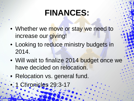- Whether we move or stay we need to increase our giving!
- Looking to reduce ministry budgets in 2014.
- Will wait to finalize 2014 budget once we have decided on relocation.
- Relocation vs. general fund.
	- 1 Chronicles 29:3-17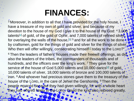<sup>3</sup> Moreover, in addition to all that I have provided for the holy house, have a treasure of my own of gold and silver, and because of my devotion to the house of my God I give it to the house of my God: 43,000 t[a](http://www.biblegateway.com/passage/?search=1+chronicles+29&version=ESV)lents<sup>[a]</sup> of gold, of the gold of Ophir, and 7,000 talents of refined silver, for overlaying the walls of the house,  $[6]$ <sup>5</sup> and for all the work to be done by craftsmen, gold for the things of gold and silver for the things of silver Who then will offer willingly, consecrating himself<sup>[\[c](http://www.biblegateway.com/passage/?search=1+chronicles+29&version=ESV)]</sup> today to the LORD?

<sup>6</sup> Then the leaders of fathers' houses made their freewill offerings, as did also the leaders of the tribes, the commanders of thousands and of hundreds, and the officers over the king's work. <sup>7</sup> They gave for the service of the house of God 5,000 talents and 10,000 darics<sup>[[d\]](http://www.biblegateway.com/passage/?search=1+chronicles+29&version=ESV)</sup> of gold, 10,000 talents of silver, 18,000 talents of bronze and 100,000 talents of iron. <sup>8</sup> And whoever had precious stones gave them to the treasury of the house of the LORD, in the care of Jehiel the Gershonite. <sup>9</sup> Then the people rejoiced because they had given willingly, for with a whole heart they had offered freely to the LORD. David the king also rejoiced greatly.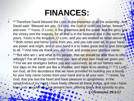- <sup>10</sup> Therefore David blessed the LORD in the presence of all the assembly. And David said: "Blessed are you, O LORD, the God of Israel our father, forever" and ever. <sup>11</sup> Yours, O LORD, is the greatness and the power and the glory and the victory and the majesty, for all that is in the heavens and in the earth is. yours. Yours is the kingdom, O LORD, and you are exalted as head above all. <sup>12</sup> Both riches and honor come from you, and you rule over all. In your hand are power and might, and in your hand it is to make great and to give strengt to all. <sup>13</sup> And now we thank you, our God, and praise your glorious name.
- <sup>14</sup> "But who am I, and what is my people, that we should be able thus to offer willingly? For all things come from you, and of your own have we given you. <sup>15</sup> For we are strangers before you and sojourners, as all our fathers were. Our days on the earth are like a shadow, and there is no abiding.<sup>[\[e](http://www.biblegateway.com/passage/?search=1+chronicles+29&version=ESV)] 16</sup> O LORD our God, all this abundance that we have provided for building you a house for your holy name comes from your hand and is all your own. 17 I know, my God, that you test the heart and have pleasure in uprightness. In the uprightness of my heart I have freely offered all these things, and now I have seen your people, who are present here, offering freely and joyously to you.

**2 Chronicles 29:3-17**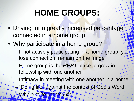# **HOME GROUPS:**

- Driving for a greatly increased percentage connected in a home group
- Why participate in a home group?
	- If not actively participating in a home group, you lose connection; remain on the fringe
	- Home group is the *BEST* place to grow in fellowship with one another
	- Intimacy in meeting with one another in a home
	- "Doing life" against the context of God's Word
		- Where *"Life Meets Life"*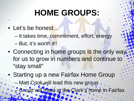## **HOME GROUPS:**

- Let's be honest...
	- It takes time, commitment, effort, energy
	- But, it's *worth* it!!
- Connecting in home groups is the only way. for us to grow in numbers and continue to "stay small"
- Starting up a new Fairfax Home Group -- Matt Cook will lead this new group.
	- Group will meet at the Clark's home in Fairfax.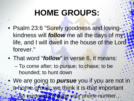# **HOME GROUPS:**

- Psalm 23:6 "Surely goodness and lovingkindness will *follow* me all the days of my life, and I will dwell in the house of the Lord forever."
- That word "*follow*" in verse 6, it means:
	- To come after; to pursue; to chase; to be hounded; to hunt down
- We are going to *pursue* you if you are not in : a home group; we think it is that important So prepare to change your phone number.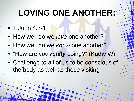#### **LOVING ONE ANOTHER:**

- 1 John 4:7-11
- How well do we *love* one another?
- How well do we *know* one another?
- "How are you *really* doing?" (Kathy W)
- Challenge to all of us to be conscious of the body as well as those visiting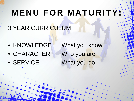# **MENU FOR MATURITY:**

- **3 YEAR CURRICULUM**
- KNOWLEDGE What you know
- CHARACTER Who you are
- 

• SERVICE What you do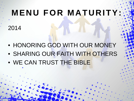# **MENU FOR MATURITY:**

- 2014
- HONORING GOD WITH OUR MONEY
- SHARING OUR FAITH WITH OTHERS
- WE CAN TRUST THE BIBLE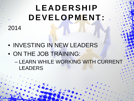# **LEADERSHIP DEVELOPMENT:**

2014

- INVESTING IN NEW LEADERS
- ON THE JOB TRAINING:
	- LEARN WHILE WORKING WITH CURRENT LEADERS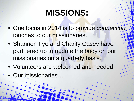- One focus in 2014 is to provide *connection* touches to our missionaries.
- Shannon Fye and Charity Casey have partnered up to update the body on our missionaries on a quarterly basis.
- Volunteers are welcomed and needed!
- Our missionaries...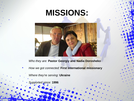

*Who they are:* **Pastor Georgiy and Nadia Dorosheko**

*How we got connected:* **First international missionary**

*Where they're serving:* **Ukraine**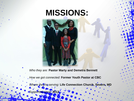*Who they are:* **Pastor Marty and Demetra Bennett**

*How we got connected:* **Former Youth Pastor at CBC**

*Where they're serving:* **Life Connection Church, Severn, MD**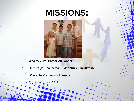

*Who they are:* **Pastor Alexander**

*How we got connected:* **Sister church in Ukraine**

*Where they're serving:* **Ukraine**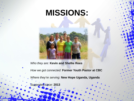

*How we got connected:* **Former Youth Pastor at CBC**

*Where they're serving:* **New Hope Uganda, Uganda**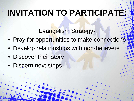# **INVITATION TO PARTICIPATE:**

Evangelism Strategy-

- Pray for opportunities to make connections
- Develop relationships with non-believers
- Discover their story
- Discern next steps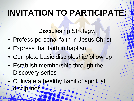# **INVITATION TO PARTICIPATE:**

Discipleship Strategy:

- Profess personal faith in Jesus Christ
- Express that faith in baptism
- Complete basic discipleship/follow-up
- Establish membership through the Discovery series
- Cultivate a healthy habit of spiritual disciplines